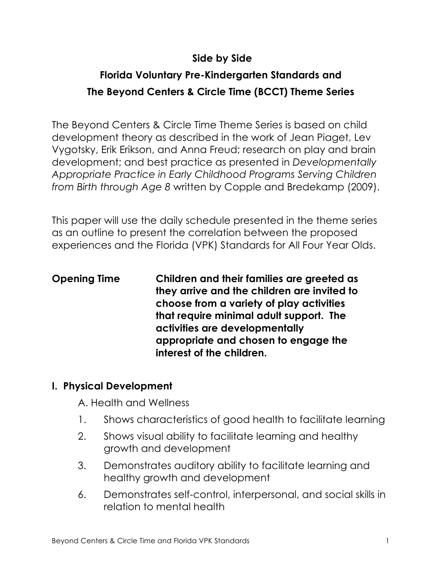## **Side by Side**

# **Florida Voluntary Pre-Kindergarten Standards and The Beyond Centers & Circle Time (BCCT) Theme Series**

The Beyond Centers & Circle Time Theme Series is based on child development theory as described in the work of Jean Piaget, Lev Vygotsky, Erik Erikson, and Anna Freud; research on play and brain development; and best practice as presented in *Developmentally Appropriate Practice in Early Childhood Programs Serving Children from Birth through Age 8* written by Copple and Bredekamp (2009).

This paper will use the daily schedule presented in the theme series as an outline to present the correlation between the proposed experiences and the Florida (VPK) Standards for All Four Year Olds.

**Opening Time Children and their families are greeted as they arrive and the children are invited to choose from a variety of play activities that require minimal adult support. The activities are developmentally appropriate and chosen to engage the interest of the children.** 

#### **I. Physical Development**

A. Health and Wellness

- 1. Shows characteristics of good health to facilitate learning
- 2. Shows visual ability to facilitate learning and healthy growth and development
- 3. Demonstrates auditory ability to facilitate learning and healthy growth and development
- 6. Demonstrates self-control, interpersonal, and social skills in relation to mental health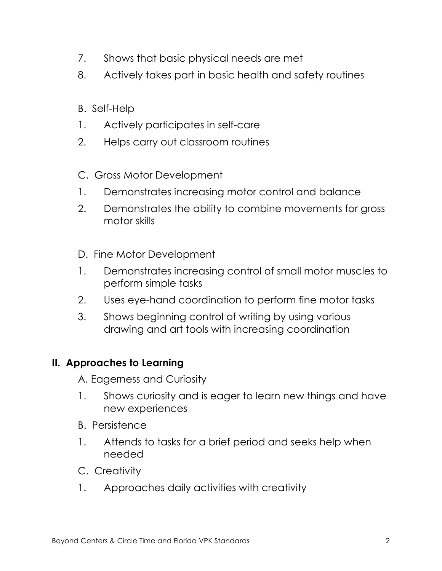- 7. Shows that basic physical needs are met
- 8. Actively takes part in basic health and safety routines
- B. Self-Help
- 1. Actively participates in self-care
- 2. Helps carry out classroom routines
- C. Gross Motor Development
- 1. Demonstrates increasing motor control and balance
- 2. Demonstrates the ability to combine movements for gross motor skills
- D. Fine Motor Development
- 1. Demonstrates increasing control of small motor muscles to perform simple tasks
- 2. Uses eye-hand coordination to perform fine motor tasks
- 3. Shows beginning control of writing by using various drawing and art tools with increasing coordination

## **II. Approaches to Learning**

A. Eagerness and Curiosity

- 1. Shows curiosity and is eager to learn new things and have new experiences
- B. Persistence
- 1. Attends to tasks for a brief period and seeks help when needed
- C. Creativity
- 1. Approaches daily activities with creativity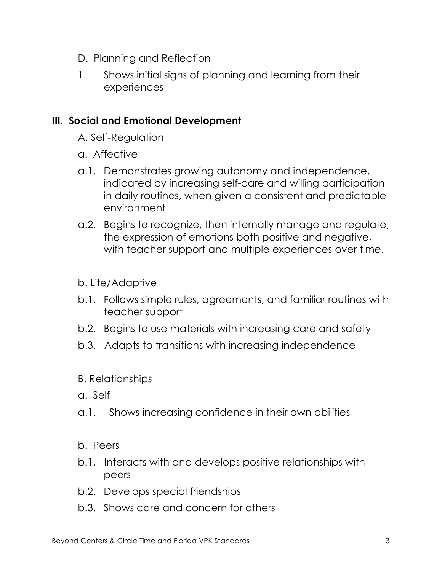- D. Planning and Reflection
- 1. Shows initial signs of planning and learning from their experiences

#### **III. Social and Emotional Development**

- A. Self-Regulation
- a. Affective
- a.1. Demonstrates growing autonomy and independence, indicated by increasing self-care and willing participation in daily routines, when given a consistent and predictable environment
- a.2. Begins to recognize, then internally manage and regulate, the expression of emotions both positive and negative, with teacher support and multiple experiences over time.

#### b. Life/Adaptive

- b.1. Follows simple rules, agreements, and familiar routines with teacher support
- b.2. Begins to use materials with increasing care and safety
- b.3. Adapts to transitions with increasing independence

#### B. Relationships

- a. Self
- a.1. Shows increasing confidence in their own abilities

#### b. Peers

- b.1. Interacts with and develops positive relationships with peers
- b.2. Develops special friendships
- b.3. Shows care and concern for others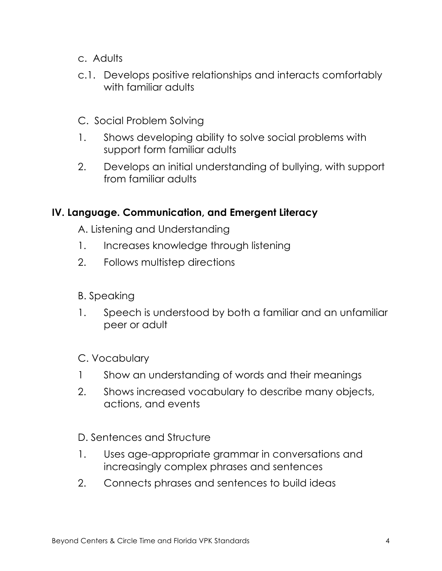- c. Adults
- c.1. Develops positive relationships and interacts comfortably with familiar adults
- C. Social Problem Solving
- 1. Shows developing ability to solve social problems with support form familiar adults
- 2. Develops an initial understanding of bullying, with support from familiar adults

#### **IV. Language. Communication, and Emergent Literacy**

A. Listening and Understanding

- 1. Increases knowledge through listening
- 2. Follows multistep directions
- B. Speaking
- 1. Speech is understood by both a familiar and an unfamiliar peer or adult

#### C. Vocabulary

- 1 Show an understanding of words and their meanings
- 2. Shows increased vocabulary to describe many objects, actions, and events

D. Sentences and Structure

- 1. Uses age-appropriate grammar in conversations and increasingly complex phrases and sentences
- 2. Connects phrases and sentences to build ideas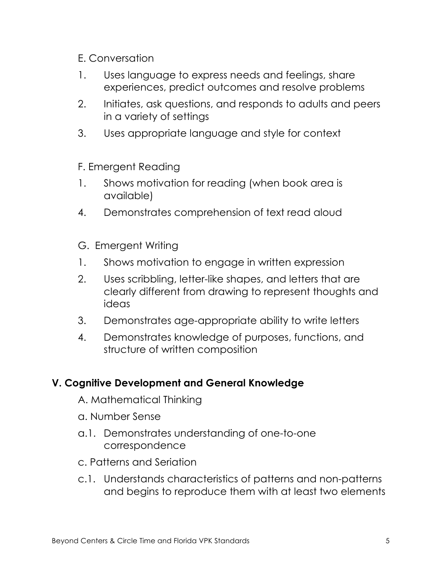#### E. Conversation

- 1. Uses language to express needs and feelings, share experiences, predict outcomes and resolve problems
- 2. Initiates, ask questions, and responds to adults and peers in a variety of settings
- 3. Uses appropriate language and style for context
- F. Emergent Reading
- 1. Shows motivation for reading (when book area is available)
- 4. Demonstrates comprehension of text read aloud
- G. Emergent Writing
- 1. Shows motivation to engage in written expression
- 2. Uses scribbling, letter-like shapes, and letters that are clearly different from drawing to represent thoughts and ideas
- 3. Demonstrates age-appropriate ability to write letters
- 4. Demonstrates knowledge of purposes, functions, and structure of written composition

#### **V. Cognitive Development and General Knowledge**

- A. Mathematical Thinking
- a. Number Sense
- a.1. Demonstrates understanding of one-to-one correspondence
- c. Patterns and Seriation
- c.1. Understands characteristics of patterns and non-patterns and begins to reproduce them with at least two elements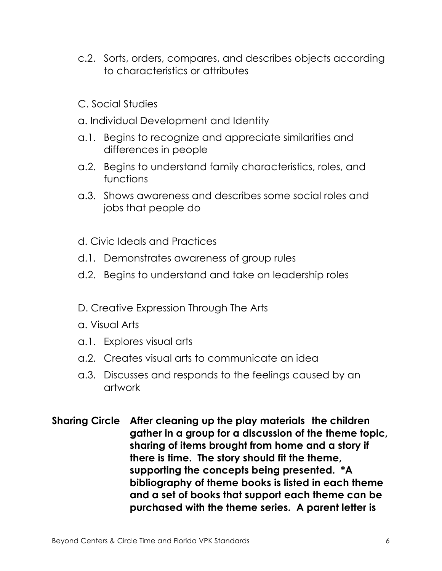- c.2. Sorts, orders, compares, and describes objects according to characteristics or attributes
- C. Social Studies
- a. Individual Development and Identity
- a.1. Begins to recognize and appreciate similarities and differences in people
- a.2. Begins to understand family characteristics, roles, and functions
- a.3. Shows awareness and describes some social roles and jobs that people do
- d. Civic Ideals and Practices
- d.1. Demonstrates awareness of group rules
- d.2. Begins to understand and take on leadership roles
- D. Creative Expression Through The Arts
- a. Visual Arts
- a.1. Explores visual arts
- a.2. Creates visual arts to communicate an idea
- a.3. Discusses and responds to the feelings caused by an artwork
- **Sharing Circle After cleaning up the play materials the children gather in a group for a discussion of the theme topic, sharing of items brought from home and a story if there is time. The story should fit the theme, supporting the concepts being presented. \*A bibliography of theme books is listed in each theme and a set of books that support each theme can be purchased with the theme series. A parent letter is**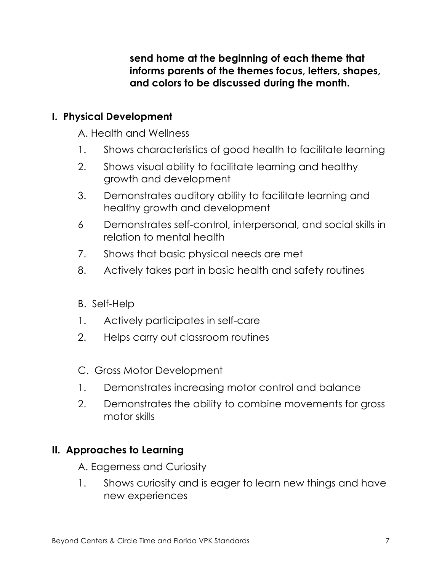**send home at the beginning of each theme that informs parents of the themes focus, letters, shapes, and colors to be discussed during the month.**

#### **I. Physical Development**

A. Health and Wellness

- 1. Shows characteristics of good health to facilitate learning
- 2. Shows visual ability to facilitate learning and healthy growth and development
- 3. Demonstrates auditory ability to facilitate learning and healthy growth and development
- 6 Demonstrates self-control, interpersonal, and social skills in relation to mental health
- 7. Shows that basic physical needs are met
- 8. Actively takes part in basic health and safety routines
- B. Self-Help
- 1. Actively participates in self-care
- 2. Helps carry out classroom routines
- C. Gross Motor Development
- 1. Demonstrates increasing motor control and balance
- 2. Demonstrates the ability to combine movements for gross motor skills

## **II. Approaches to Learning**

- A. Eagerness and Curiosity
- 1. Shows curiosity and is eager to learn new things and have new experiences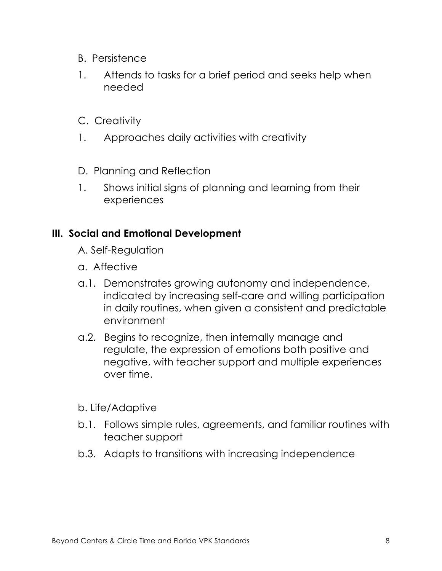- B. Persistence
- 1. Attends to tasks for a brief period and seeks help when needed
- C. Creativity
- 1. Approaches daily activities with creativity
- D. Planning and Reflection
- 1. Shows initial signs of planning and learning from their experiences

#### **III. Social and Emotional Development**

- A. Self-Regulation
- a. Affective
- a.1. Demonstrates growing autonomy and independence, indicated by increasing self-care and willing participation in daily routines, when given a consistent and predictable environment
- a.2. Begins to recognize, then internally manage and regulate, the expression of emotions both positive and negative, with teacher support and multiple experiences over time.
- b. Life/Adaptive
- b.1. Follows simple rules, agreements, and familiar routines with teacher support
- b.3. Adapts to transitions with increasing independence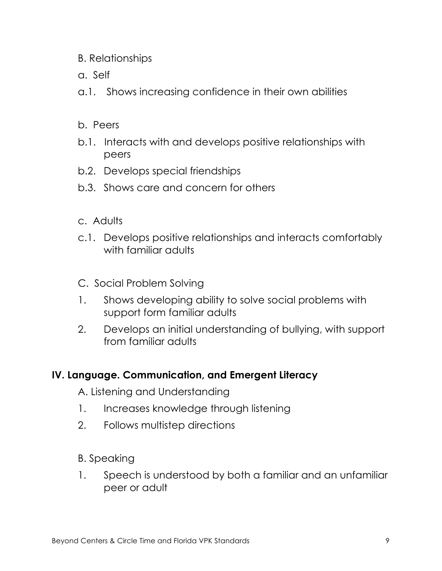- B. Relationships
- a. Self
- a.1. Shows increasing confidence in their own abilities
- b. Peers
- b.1. Interacts with and develops positive relationships with peers
- b.2. Develops special friendships
- b.3. Shows care and concern for others
- c. Adults
- c.1. Develops positive relationships and interacts comfortably with familiar adults
- C. Social Problem Solving
- 1. Shows developing ability to solve social problems with support form familiar adults
- 2. Develops an initial understanding of bullying, with support from familiar adults

#### **IV. Language. Communication, and Emergent Literacy**

A. Listening and Understanding

- 1. Increases knowledge through listening
- 2. Follows multistep directions
- B. Speaking
- 1. Speech is understood by both a familiar and an unfamiliar peer or adult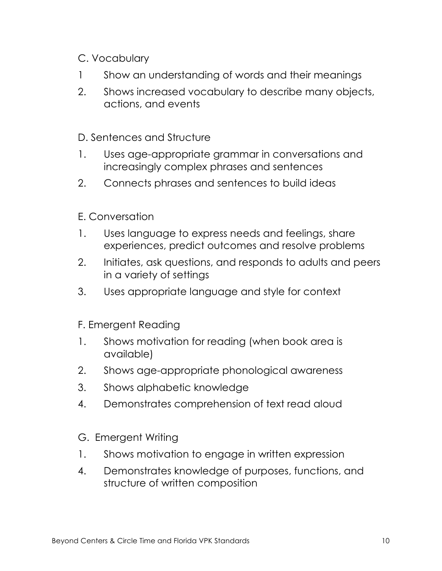- C. Vocabulary
- 1 Show an understanding of words and their meanings
- 2. Shows increased vocabulary to describe many objects, actions, and events

D. Sentences and Structure

- 1. Uses age-appropriate grammar in conversations and increasingly complex phrases and sentences
- 2. Connects phrases and sentences to build ideas
- E. Conversation
- 1. Uses language to express needs and feelings, share experiences, predict outcomes and resolve problems
- 2. Initiates, ask questions, and responds to adults and peers in a variety of settings
- 3. Uses appropriate language and style for context
- F. Emergent Reading
- 1. Shows motivation for reading (when book area is available)
- 2. Shows age-appropriate phonological awareness
- 3. Shows alphabetic knowledge
- 4. Demonstrates comprehension of text read aloud
- G. Emergent Writing
- 1. Shows motivation to engage in written expression
- 4. Demonstrates knowledge of purposes, functions, and structure of written composition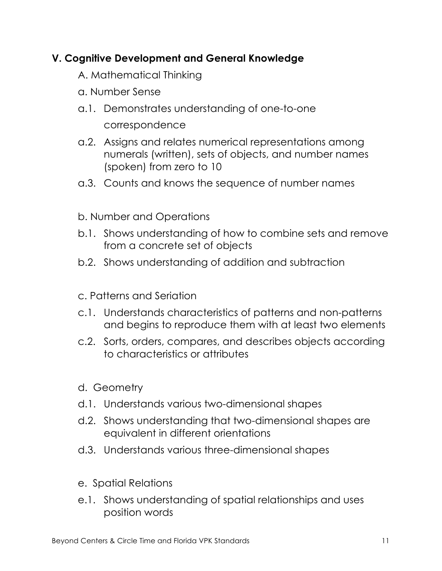## **V. Cognitive Development and General Knowledge**

- A. Mathematical Thinking
- a. Number Sense
- a.1. Demonstrates understanding of one-to-one correspondence
- a.2. Assigns and relates numerical representations among numerals (written), sets of objects, and number names (spoken) from zero to 10
- a.3. Counts and knows the sequence of number names
- b. Number and Operations
- b.1. Shows understanding of how to combine sets and remove from a concrete set of objects
- b.2. Shows understanding of addition and subtraction
- c. Patterns and Seriation
- c.1. Understands characteristics of patterns and non-patterns and begins to reproduce them with at least two elements
- c.2. Sorts, orders, compares, and describes objects according to characteristics or attributes
- d. Geometry
- d.1. Understands various two-dimensional shapes
- d.2. Shows understanding that two-dimensional shapes are equivalent in different orientations
- d.3. Understands various three-dimensional shapes
- e. Spatial Relations
- e.1. Shows understanding of spatial relationships and uses position words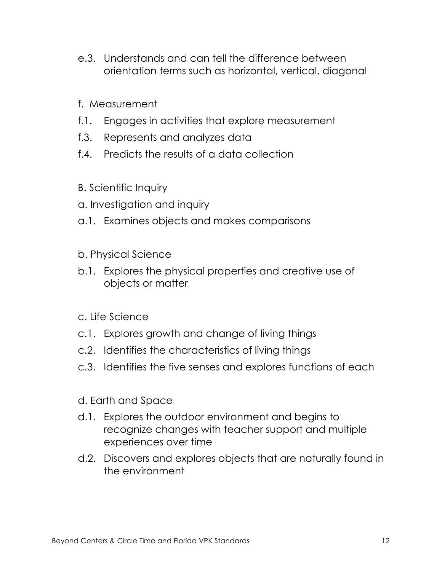- e.3. Understands and can tell the difference between orientation terms such as horizontal, vertical, diagonal
- f. Measurement
- f.1. Engages in activities that explore measurement
- f.3. Represents and analyzes data
- f.4. Predicts the results of a data collection
- B. Scientific Inquiry
- a. Investigation and inquiry
- a.1. Examines objects and makes comparisons
- b. Physical Science
- b.1. Explores the physical properties and creative use of objects or matter
- c. Life Science
- c.1. Explores growth and change of living things
- c.2. Identifies the characteristics of living things
- c.3. Identifies the five senses and explores functions of each
- d. Earth and Space
- d.1. Explores the outdoor environment and begins to recognize changes with teacher support and multiple experiences over time
- d.2. Discovers and explores objects that are naturally found in the environment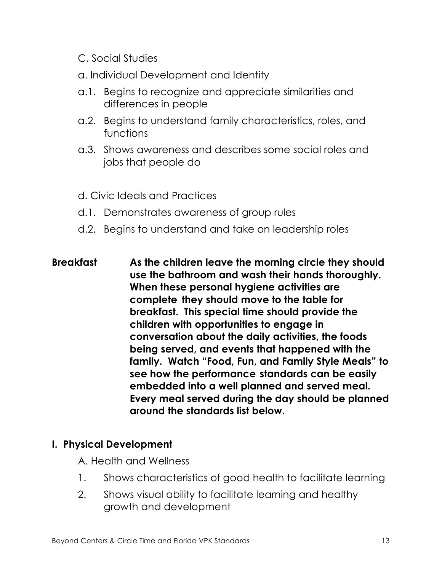- C. Social Studies
- a. Individual Development and Identity
- a.1. Begins to recognize and appreciate similarities and differences in people
- a.2. Begins to understand family characteristics, roles, and functions
- a.3. Shows awareness and describes some social roles and jobs that people do
- d. Civic Ideals and Practices
- d.1. Demonstrates awareness of group rules
- d.2. Begins to understand and take on leadership roles
- **Breakfast As the children leave the morning circle they should use the bathroom and wash their hands thoroughly. When these personal hygiene activities are complete they should move to the table for breakfast. This special time should provide the children with opportunities to engage in conversation about the daily activities, the foods being served, and events that happened with the family. Watch "Food, Fun, and Family Style Meals" to see how the performance standards can be easily embedded into a well planned and served meal. Every meal served during the day should be planned around the standards list below.**

#### **I. Physical Development**

- A. Health and Wellness
- 1. Shows characteristics of good health to facilitate learning
- 2. Shows visual ability to facilitate learning and healthy growth and development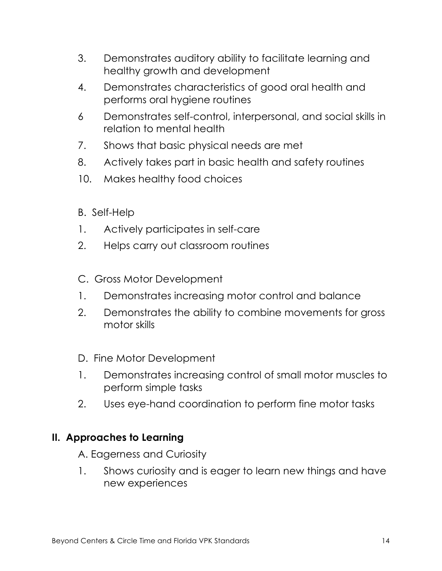- 3. Demonstrates auditory ability to facilitate learning and healthy growth and development
- 4. Demonstrates characteristics of good oral health and performs oral hygiene routines
- 6 Demonstrates self-control, interpersonal, and social skills in relation to mental health
- 7. Shows that basic physical needs are met
- 8. Actively takes part in basic health and safety routines
- 10. Makes healthy food choices
- B. Self-Help
- 1. Actively participates in self-care
- 2. Helps carry out classroom routines
- C. Gross Motor Development
- 1. Demonstrates increasing motor control and balance
- 2. Demonstrates the ability to combine movements for gross motor skills
- D. Fine Motor Development
- 1. Demonstrates increasing control of small motor muscles to perform simple tasks
- 2. Uses eye-hand coordination to perform fine motor tasks

## **II. Approaches to Learning**

A. Eagerness and Curiosity

1. Shows curiosity and is eager to learn new things and have new experiences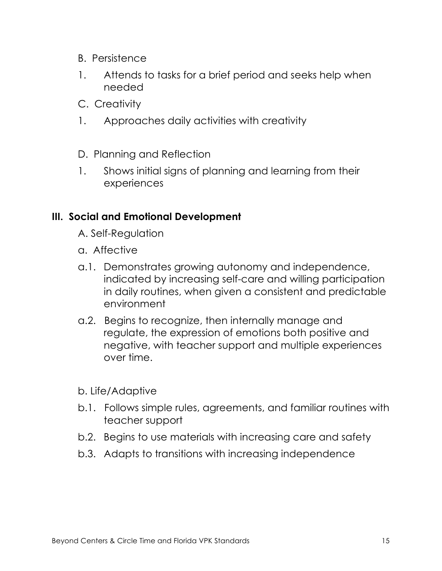- B. Persistence
- 1. Attends to tasks for a brief period and seeks help when needed
- C. Creativity
- 1. Approaches daily activities with creativity
- D. Planning and Reflection
- 1. Shows initial signs of planning and learning from their experiences

#### **III. Social and Emotional Development**

- A. Self-Regulation
- a. Affective
- a.1. Demonstrates growing autonomy and independence, indicated by increasing self-care and willing participation in daily routines, when given a consistent and predictable environment
- a.2. Begins to recognize, then internally manage and regulate, the expression of emotions both positive and negative, with teacher support and multiple experiences over time.
- b. Life/Adaptive
- b.1. Follows simple rules, agreements, and familiar routines with teacher support
- b.2. Begins to use materials with increasing care and safety
- b.3. Adapts to transitions with increasing independence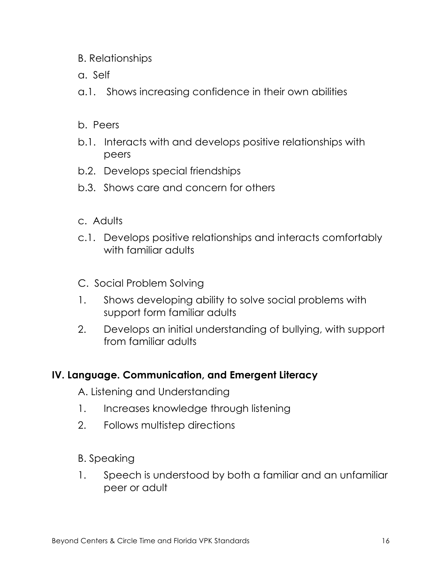- B. Relationships
- a. Self
- a.1. Shows increasing confidence in their own abilities
- b. Peers
- b.1. Interacts with and develops positive relationships with peers
- b.2. Develops special friendships
- b.3. Shows care and concern for others
- c. Adults
- c.1. Develops positive relationships and interacts comfortably with familiar adults
- C. Social Problem Solving
- 1. Shows developing ability to solve social problems with support form familiar adults
- 2. Develops an initial understanding of bullying, with support from familiar adults

#### **IV. Language. Communication, and Emergent Literacy**

A. Listening and Understanding

- 1. Increases knowledge through listening
- 2. Follows multistep directions
- B. Speaking
- 1. Speech is understood by both a familiar and an unfamiliar peer or adult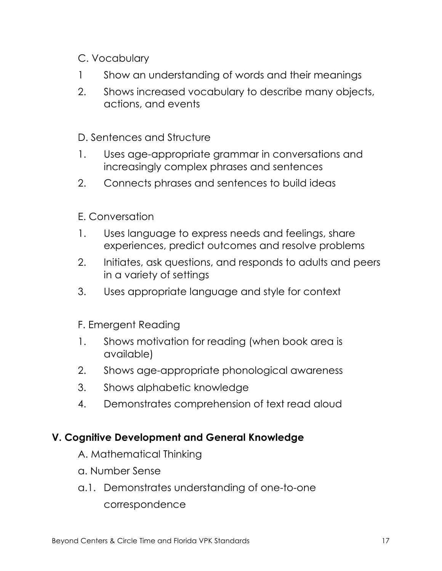- C. Vocabulary
- 1 Show an understanding of words and their meanings
- 2. Shows increased vocabulary to describe many objects, actions, and events

D. Sentences and Structure

- 1. Uses age-appropriate grammar in conversations and increasingly complex phrases and sentences
- 2. Connects phrases and sentences to build ideas
- E. Conversation
- 1. Uses language to express needs and feelings, share experiences, predict outcomes and resolve problems
- 2. Initiates, ask questions, and responds to adults and peers in a variety of settings
- 3. Uses appropriate language and style for context
- F. Emergent Reading
- 1. Shows motivation for reading (when book area is available)
- 2. Shows age-appropriate phonological awareness
- 3. Shows alphabetic knowledge
- 4. Demonstrates comprehension of text read aloud

## **V. Cognitive Development and General Knowledge**

- A. Mathematical Thinking
- a. Number Sense
- a.1. Demonstrates understanding of one-to-one correspondence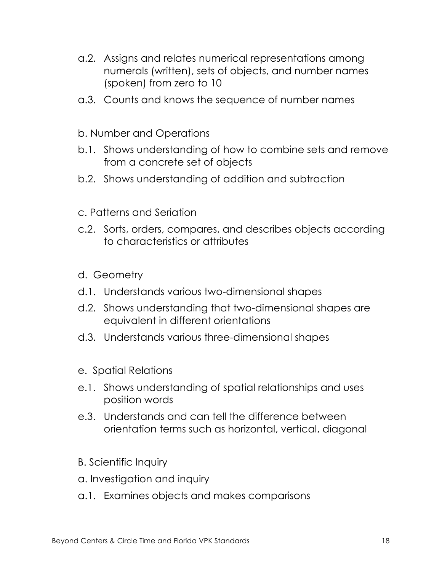- a.2. Assigns and relates numerical representations among numerals (written), sets of objects, and number names (spoken) from zero to 10
- a.3. Counts and knows the sequence of number names
- b. Number and Operations
- b.1. Shows understanding of how to combine sets and remove from a concrete set of objects
- b.2. Shows understanding of addition and subtraction
- c. Patterns and Seriation
- c.2. Sorts, orders, compares, and describes objects according to characteristics or attributes
- d. Geometry
- d.1. Understands various two-dimensional shapes
- d.2. Shows understanding that two-dimensional shapes are equivalent in different orientations
- d.3. Understands various three-dimensional shapes
- e. Spatial Relations
- e.1. Shows understanding of spatial relationships and uses position words
- e.3. Understands and can tell the difference between orientation terms such as horizontal, vertical, diagonal
- B. Scientific Inquiry
- a. Investigation and inquiry
- a.1. Examines objects and makes comparisons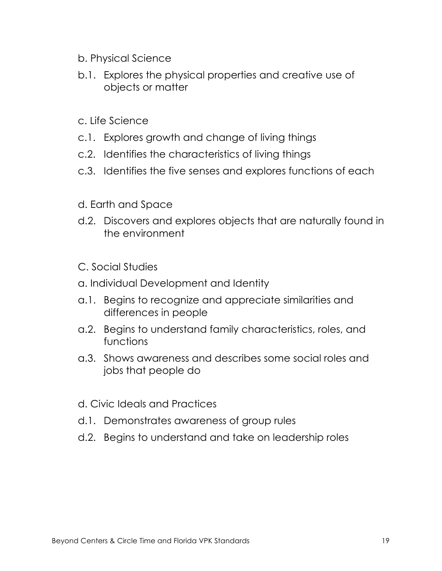- b. Physical Science
- b.1. Explores the physical properties and creative use of objects or matter
- c. Life Science
- c.1. Explores growth and change of living things
- c.2. Identifies the characteristics of living things
- c.3. Identifies the five senses and explores functions of each
- d. Earth and Space
- d.2. Discovers and explores objects that are naturally found in the environment
- C. Social Studies
- a. Individual Development and Identity
- a.1. Begins to recognize and appreciate similarities and differences in people
- a.2. Begins to understand family characteristics, roles, and functions
- a.3. Shows awareness and describes some social roles and jobs that people do
- d. Civic Ideals and Practices
- d.1. Demonstrates awareness of group rules
- d.2. Begins to understand and take on leadership roles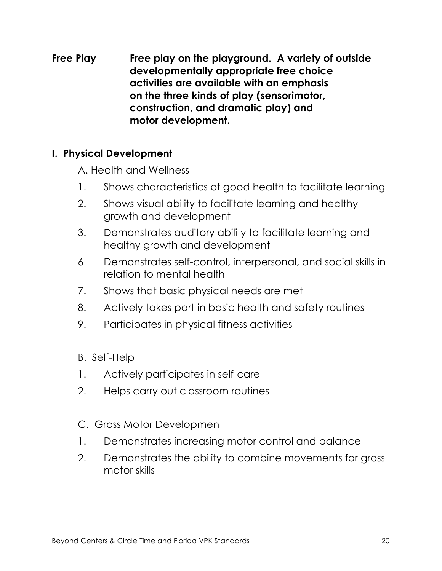**Free Play Free play on the playground. A variety of outside developmentally appropriate free choice activities are available with an emphasis on the three kinds of play (sensorimotor, construction, and dramatic play) and motor development.**

#### **I. Physical Development**

A. Health and Wellness

- 1. Shows characteristics of good health to facilitate learning
- 2. Shows visual ability to facilitate learning and healthy growth and development
- 3. Demonstrates auditory ability to facilitate learning and healthy growth and development
- 6 Demonstrates self-control, interpersonal, and social skills in relation to mental health
- 7. Shows that basic physical needs are met
- 8. Actively takes part in basic health and safety routines
- 9. Participates in physical fitness activities
- B. Self-Help
- 1. Actively participates in self-care
- 2. Helps carry out classroom routines
- C. Gross Motor Development
- 1. Demonstrates increasing motor control and balance
- 2. Demonstrates the ability to combine movements for gross motor skills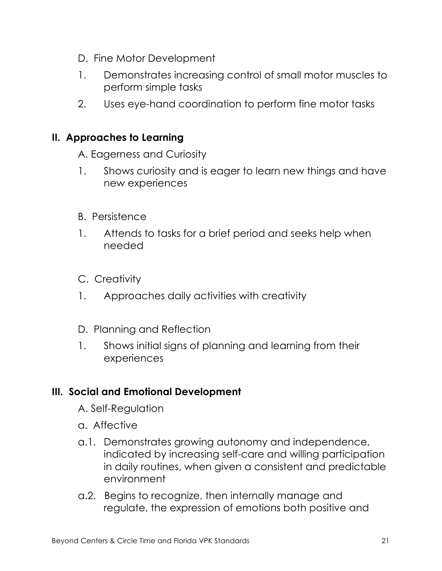- D. Fine Motor Development
- 1. Demonstrates increasing control of small motor muscles to perform simple tasks
- 2. Uses eye-hand coordination to perform fine motor tasks

#### **II. Approaches to Learning**

A. Eagerness and Curiosity

- 1. Shows curiosity and is eager to learn new things and have new experiences
- B. Persistence
- 1. Attends to tasks for a brief period and seeks help when needed
- C. Creativity
- 1. Approaches daily activities with creativity
- D. Planning and Reflection
- 1. Shows initial signs of planning and learning from their experiences

#### **III. Social and Emotional Development**

- A. Self-Regulation
- a. Affective
- a.1. Demonstrates growing autonomy and independence, indicated by increasing self-care and willing participation in daily routines, when given a consistent and predictable environment
- a.2. Begins to recognize, then internally manage and regulate, the expression of emotions both positive and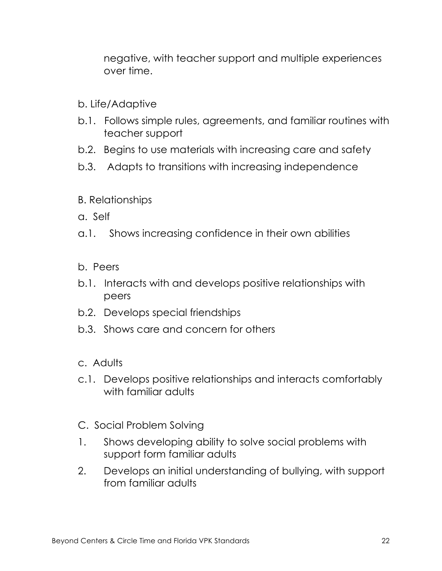negative, with teacher support and multiple experiences over time.

- b. Life/Adaptive
- b.1. Follows simple rules, agreements, and familiar routines with teacher support
- b.2. Begins to use materials with increasing care and safety
- b.3. Adapts to transitions with increasing independence
- B. Relationships
- a. Self
- a.1. Shows increasing confidence in their own abilities
- b. Peers
- b.1. Interacts with and develops positive relationships with peers
- b.2. Develops special friendships
- b.3. Shows care and concern for others
- c. Adults
- c.1. Develops positive relationships and interacts comfortably with familiar adults
- C. Social Problem Solving
- 1. Shows developing ability to solve social problems with support form familiar adults
- 2. Develops an initial understanding of bullying, with support from familiar adults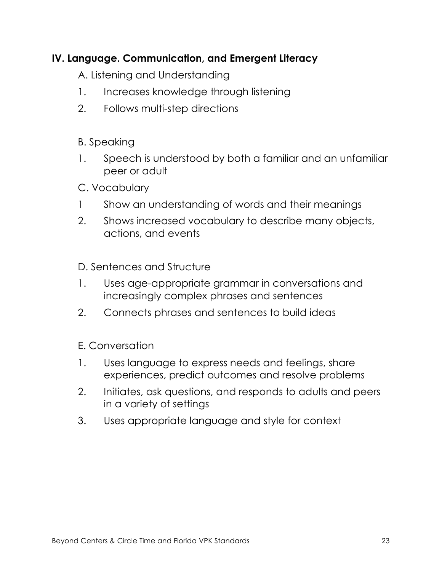## **IV. Language. Communication, and Emergent Literacy**

A. Listening and Understanding

- 1. Increases knowledge through listening
- 2. Follows multi-step directions

#### B. Speaking

- 1. Speech is understood by both a familiar and an unfamiliar peer or adult
- C. Vocabulary
- 1 Show an understanding of words and their meanings
- 2. Shows increased vocabulary to describe many objects, actions, and events

D. Sentences and Structure

- 1. Uses age-appropriate grammar in conversations and increasingly complex phrases and sentences
- 2. Connects phrases and sentences to build ideas

E. Conversation

- 1. Uses language to express needs and feelings, share experiences, predict outcomes and resolve problems
- 2. Initiates, ask questions, and responds to adults and peers in a variety of settings
- 3. Uses appropriate language and style for context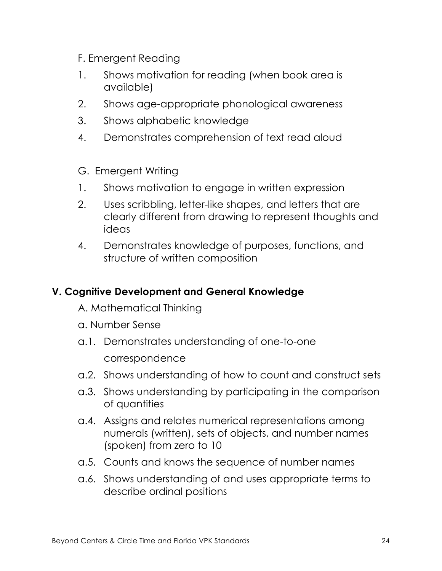- F. Emergent Reading
- 1. Shows motivation for reading (when book area is available)
- 2. Shows age-appropriate phonological awareness
- 3. Shows alphabetic knowledge
- 4. Demonstrates comprehension of text read aloud
- G. Emergent Writing
- 1. Shows motivation to engage in written expression
- 2. Uses scribbling, letter-like shapes, and letters that are clearly different from drawing to represent thoughts and ideas
- 4. Demonstrates knowledge of purposes, functions, and structure of written composition

#### **V. Cognitive Development and General Knowledge**

A. Mathematical Thinking

- a. Number Sense
- a.1. Demonstrates understanding of one-to-one correspondence
- a.2. Shows understanding of how to count and construct sets
- a.3. Shows understanding by participating in the comparison of quantities
- a.4. Assigns and relates numerical representations among numerals (written), sets of objects, and number names (spoken) from zero to 10
- a.5. Counts and knows the sequence of number names
- a.6. Shows understanding of and uses appropriate terms to describe ordinal positions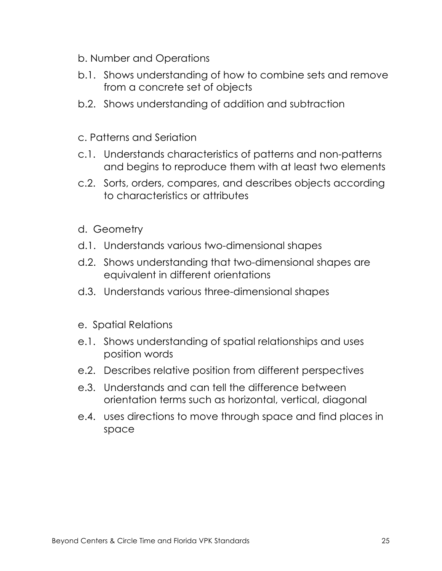- b. Number and Operations
- b.1. Shows understanding of how to combine sets and remove from a concrete set of objects
- b.2. Shows understanding of addition and subtraction
- c. Patterns and Seriation
- c.1. Understands characteristics of patterns and non-patterns and begins to reproduce them with at least two elements
- c.2. Sorts, orders, compares, and describes objects according to characteristics or attributes
- d. Geometry
- d.1. Understands various two-dimensional shapes
- d.2. Shows understanding that two-dimensional shapes are equivalent in different orientations
- d.3. Understands various three-dimensional shapes
- e. Spatial Relations
- e.1. Shows understanding of spatial relationships and uses position words
- e.2. Describes relative position from different perspectives
- e.3. Understands and can tell the difference between orientation terms such as horizontal, vertical, diagonal
- e.4. uses directions to move through space and find places in space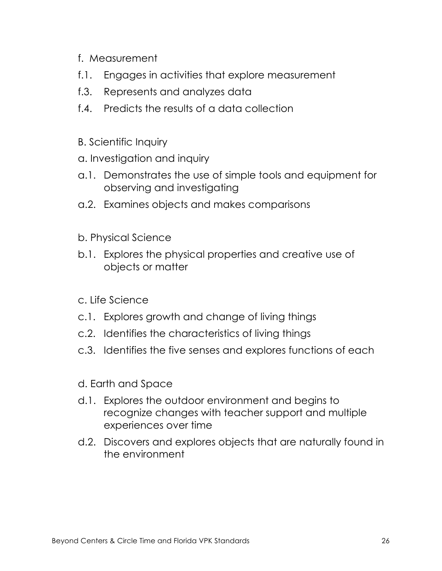- f. Measurement
- f.1. Engages in activities that explore measurement
- f.3. Represents and analyzes data
- f.4. Predicts the results of a data collection
- B. Scientific Inquiry
- a. Investigation and inquiry
- a.1. Demonstrates the use of simple tools and equipment for observing and investigating
- a.2. Examines objects and makes comparisons
- b. Physical Science
- b.1. Explores the physical properties and creative use of objects or matter
- c. Life Science
- c.1. Explores growth and change of living things
- c.2. Identifies the characteristics of living things
- c.3. Identifies the five senses and explores functions of each
- d. Earth and Space
- d.1. Explores the outdoor environment and begins to recognize changes with teacher support and multiple experiences over time
- d.2. Discovers and explores objects that are naturally found in the environment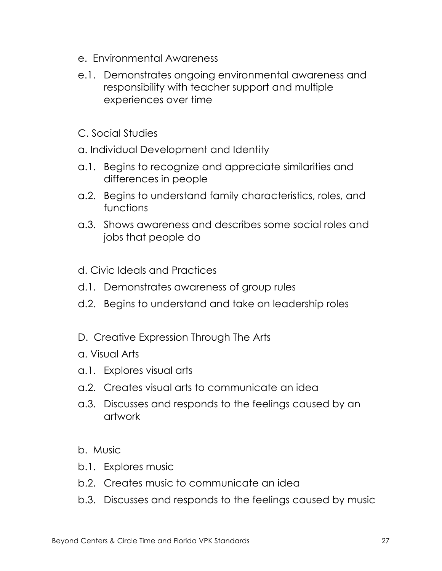- e. Environmental Awareness
- e.1. Demonstrates ongoing environmental awareness and responsibility with teacher support and multiple experiences over time
- C. Social Studies
- a. Individual Development and Identity
- a.1. Begins to recognize and appreciate similarities and differences in people
- a.2. Begins to understand family characteristics, roles, and functions
- a.3. Shows awareness and describes some social roles and jobs that people do
- d. Civic Ideals and Practices
- d.1. Demonstrates awareness of group rules
- d.2. Begins to understand and take on leadership roles
- D. Creative Expression Through The Arts
- a. Visual Arts
- a.1. Explores visual arts
- a.2. Creates visual arts to communicate an idea
- a.3. Discusses and responds to the feelings caused by an artwork
- b. Music
- b.1. Explores music
- b.2. Creates music to communicate an idea
- b.3. Discusses and responds to the feelings caused by music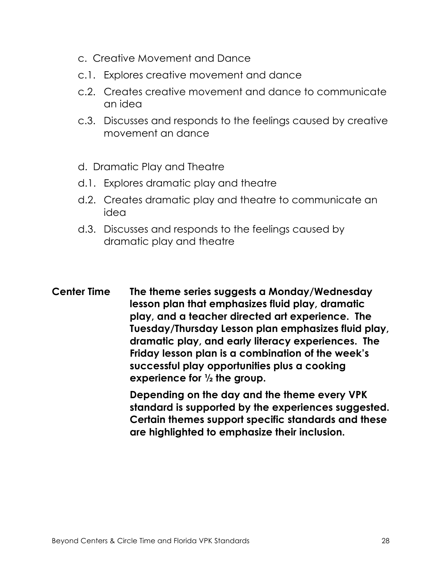- c. Creative Movement and Dance
- c.1. Explores creative movement and dance
- c.2. Creates creative movement and dance to communicate an idea
- c.3. Discusses and responds to the feelings caused by creative movement an dance
- d. Dramatic Play and Theatre
- d.1. Explores dramatic play and theatre
- d.2. Creates dramatic play and theatre to communicate an idea
- d.3. Discusses and responds to the feelings caused by dramatic play and theatre
- **Center Time The theme series suggests a Monday/Wednesday lesson plan that emphasizes fluid play, dramatic play, and a teacher directed art experience. The Tuesday/Thursday Lesson plan emphasizes fluid play, dramatic play, and early literacy experiences. The Friday lesson plan is a combination of the week's successful play opportunities plus a cooking experience for ½ the group.**

**Depending on the day and the theme every VPK standard is supported by the experiences suggested. Certain themes support specific standards and these are highlighted to emphasize their inclusion.**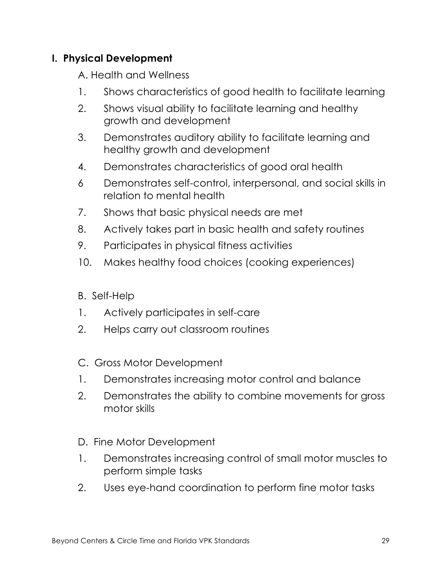## **I. Physical Development**

A. Health and Wellness

- 1. Shows characteristics of good health to facilitate learning
- 2. Shows visual ability to facilitate learning and healthy growth and development
- 3. Demonstrates auditory ability to facilitate learning and healthy growth and development
- 4. Demonstrates characteristics of good oral health
- 6 Demonstrates self-control, interpersonal, and social skills in relation to mental health
- 7. Shows that basic physical needs are met
- 8. Actively takes part in basic health and safety routines
- 9. Participates in physical fitness activities
- 10. Makes healthy food choices (cooking experiences)
- B. Self-Help
- 1. Actively participates in self-care
- 2. Helps carry out classroom routines
- C. Gross Motor Development
- 1. Demonstrates increasing motor control and balance
- 2. Demonstrates the ability to combine movements for gross motor skills
- D. Fine Motor Development
- 1. Demonstrates increasing control of small motor muscles to perform simple tasks
- 2. Uses eye-hand coordination to perform fine motor tasks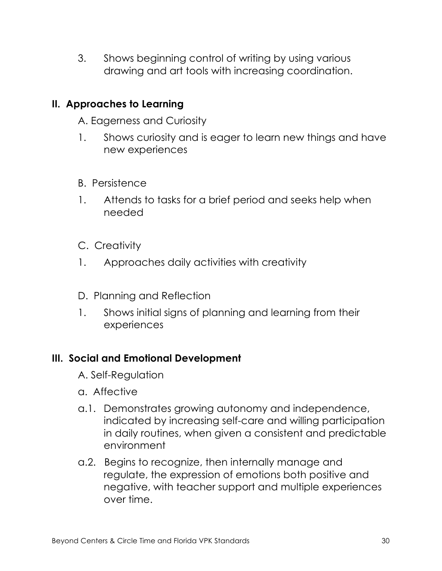3. Shows beginning control of writing by using various drawing and art tools with increasing coordination.

#### **II. Approaches to Learning**

A. Eagerness and Curiosity

- 1. Shows curiosity and is eager to learn new things and have new experiences
- B. Persistence
- 1. Attends to tasks for a brief period and seeks help when needed
- C. Creativity
- 1. Approaches daily activities with creativity
- D. Planning and Reflection
- 1. Shows initial signs of planning and learning from their experiences

#### **III. Social and Emotional Development**

- A. Self-Regulation
- a. Affective
- a.1. Demonstrates growing autonomy and independence, indicated by increasing self-care and willing participation in daily routines, when given a consistent and predictable environment
- a.2. Begins to recognize, then internally manage and regulate, the expression of emotions both positive and negative, with teacher support and multiple experiences over time.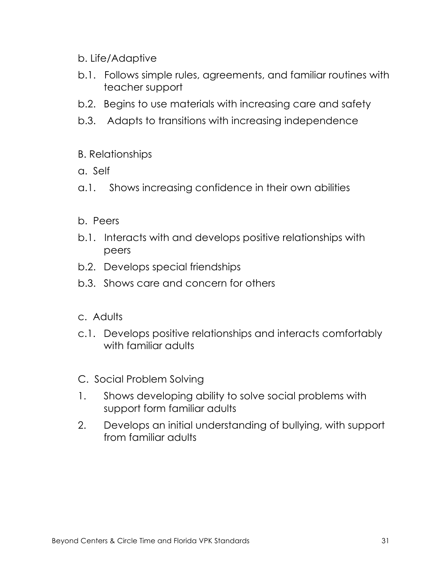#### b. Life/Adaptive

- b.1. Follows simple rules, agreements, and familiar routines with teacher support
- b.2. Begins to use materials with increasing care and safety
- b.3. Adapts to transitions with increasing independence

#### B. Relationships

- a. Self
- a.1. Shows increasing confidence in their own abilities

#### b. Peers

- b.1. Interacts with and develops positive relationships with peers
- b.2. Develops special friendships
- b.3. Shows care and concern for others

#### c. Adults

- c.1. Develops positive relationships and interacts comfortably with familiar adults
- C. Social Problem Solving
- 1. Shows developing ability to solve social problems with support form familiar adults
- 2. Develops an initial understanding of bullying, with support from familiar adults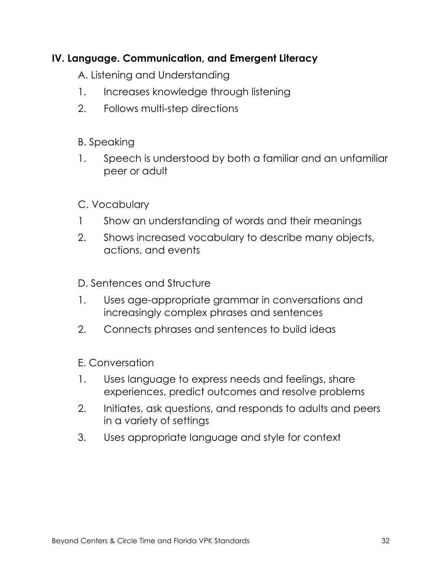## **IV. Language. Communication, and Emergent Literacy**

A. Listening and Understanding

- 1. Increases knowledge through listening
- 2. Follows multi-step directions

## B. Speaking

1. Speech is understood by both a familiar and an unfamiliar peer or adult

## C. Vocabulary

- 1 Show an understanding of words and their meanings
- 2. Shows increased vocabulary to describe many objects, actions, and events

#### D. Sentences and Structure

- 1. Uses age-appropriate grammar in conversations and increasingly complex phrases and sentences
- 2. Connects phrases and sentences to build ideas

#### E. Conversation

- 1. Uses language to express needs and feelings, share experiences, predict outcomes and resolve problems
- 2. Initiates, ask questions, and responds to adults and peers in a variety of settings
- 3. Uses appropriate language and style for context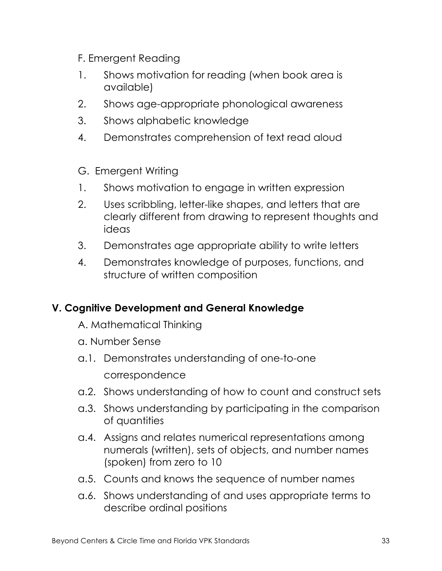- F. Emergent Reading
- 1. Shows motivation for reading (when book area is available)
- 2. Shows age-appropriate phonological awareness
- 3. Shows alphabetic knowledge
- 4. Demonstrates comprehension of text read aloud
- G. Emergent Writing
- 1. Shows motivation to engage in written expression
- 2. Uses scribbling, letter-like shapes, and letters that are clearly different from drawing to represent thoughts and ideas
- 3. Demonstrates age appropriate ability to write letters
- 4. Demonstrates knowledge of purposes, functions, and structure of written composition

## **V. Cognitive Development and General Knowledge**

- A. Mathematical Thinking
- a. Number Sense
- a.1. Demonstrates understanding of one-to-one correspondence
- a.2. Shows understanding of how to count and construct sets
- a.3. Shows understanding by participating in the comparison of quantities
- a.4. Assigns and relates numerical representations among numerals (written), sets of objects, and number names (spoken) from zero to 10
- a.5. Counts and knows the sequence of number names
- a.6. Shows understanding of and uses appropriate terms to describe ordinal positions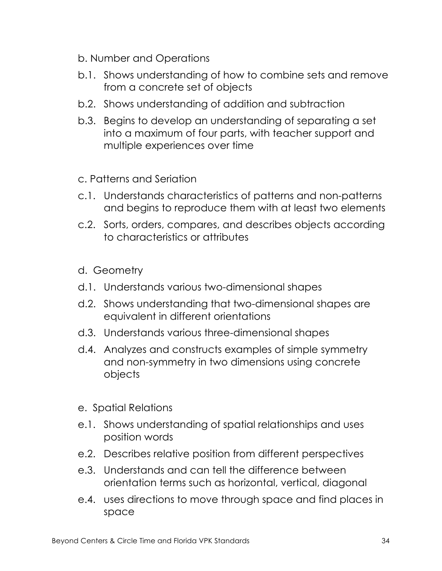- b. Number and Operations
- b.1. Shows understanding of how to combine sets and remove from a concrete set of objects
- b.2. Shows understanding of addition and subtraction
- b.3. Begins to develop an understanding of separating a set into a maximum of four parts, with teacher support and multiple experiences over time
- c. Patterns and Seriation
- c.1. Understands characteristics of patterns and non-patterns and begins to reproduce them with at least two elements
- c.2. Sorts, orders, compares, and describes objects according to characteristics or attributes
- d. Geometry
- d.1. Understands various two-dimensional shapes
- d.2. Shows understanding that two-dimensional shapes are equivalent in different orientations
- d.3. Understands various three-dimensional shapes
- d.4. Analyzes and constructs examples of simple symmetry and non-symmetry in two dimensions using concrete objects
- e. Spatial Relations
- e.1. Shows understanding of spatial relationships and uses position words
- e.2. Describes relative position from different perspectives
- e.3. Understands and can tell the difference between orientation terms such as horizontal, vertical, diagonal
- e.4. uses directions to move through space and find places in space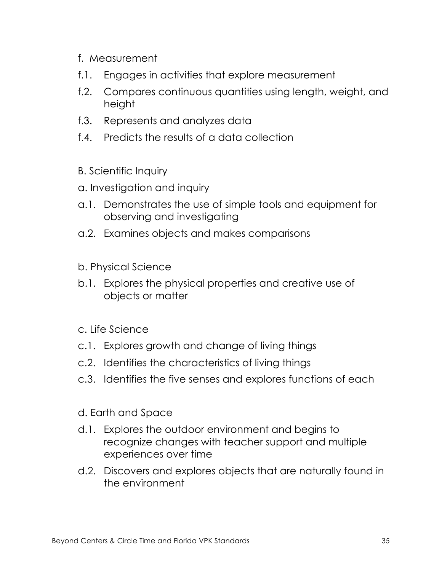- f. Measurement
- f.1. Engages in activities that explore measurement
- f.2. Compares continuous quantities using length, weight, and height
- f.3. Represents and analyzes data
- f.4. Predicts the results of a data collection
- B. Scientific Inquiry
- a. Investigation and inquiry
- a.1. Demonstrates the use of simple tools and equipment for observing and investigating
- a.2. Examines objects and makes comparisons
- b. Physical Science
- b.1. Explores the physical properties and creative use of objects or matter
- c. Life Science
- c.1. Explores growth and change of living things
- c.2. Identifies the characteristics of living things
- c.3. Identifies the five senses and explores functions of each
- d. Earth and Space
- d.1. Explores the outdoor environment and begins to recognize changes with teacher support and multiple experiences over time
- d.2. Discovers and explores objects that are naturally found in the environment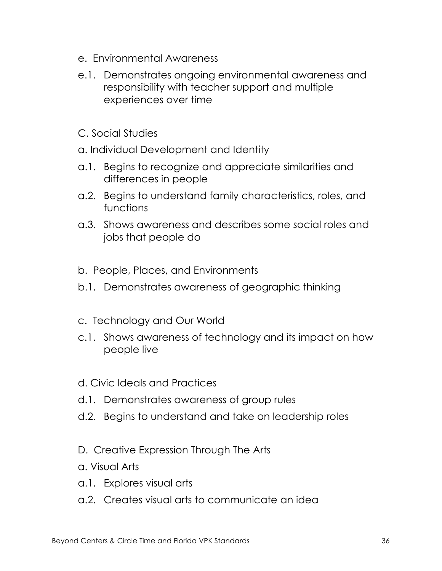- e. Environmental Awareness
- e.1. Demonstrates ongoing environmental awareness and responsibility with teacher support and multiple experiences over time
- C. Social Studies
- a. Individual Development and Identity
- a.1. Begins to recognize and appreciate similarities and differences in people
- a.2. Begins to understand family characteristics, roles, and functions
- a.3. Shows awareness and describes some social roles and jobs that people do
- b. People, Places, and Environments
- b.1. Demonstrates awareness of geographic thinking
- c. Technology and Our World
- c.1. Shows awareness of technology and its impact on how people live
- d. Civic Ideals and Practices
- d.1. Demonstrates awareness of group rules
- d.2. Begins to understand and take on leadership roles
- D. Creative Expression Through The Arts
- a. Visual Arts
- a.1. Explores visual arts
- a.2. Creates visual arts to communicate an idea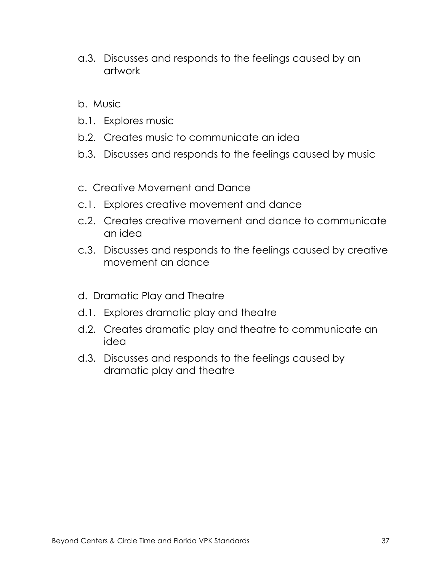- a.3. Discusses and responds to the feelings caused by an artwork
- b. Music
- b.1. Explores music
- b.2. Creates music to communicate an idea
- b.3. Discusses and responds to the feelings caused by music
- c. Creative Movement and Dance
- c.1. Explores creative movement and dance
- c.2. Creates creative movement and dance to communicate an idea
- c.3. Discusses and responds to the feelings caused by creative movement an dance
- d. Dramatic Play and Theatre
- d.1. Explores dramatic play and theatre
- d.2. Creates dramatic play and theatre to communicate an idea
- d.3. Discusses and responds to the feelings caused by dramatic play and theatre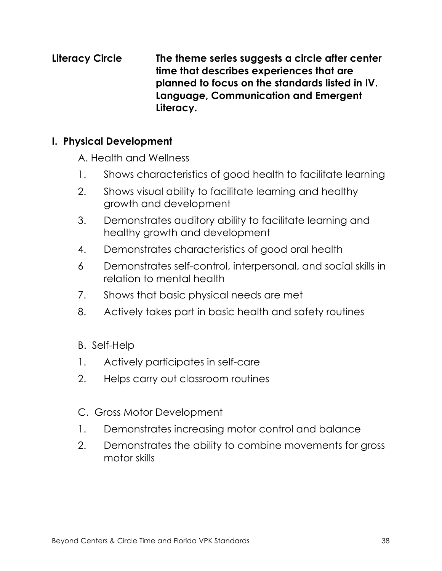**Literacy Circle The theme series suggests a circle after center time that describes experiences that are planned to focus on the standards listed in IV. Language, Communication and Emergent Literacy.** 

#### **I. Physical Development**

A. Health and Wellness

- 1. Shows characteristics of good health to facilitate learning
- 2. Shows visual ability to facilitate learning and healthy growth and development
- 3. Demonstrates auditory ability to facilitate learning and healthy growth and development
- 4. Demonstrates characteristics of good oral health
- 6 Demonstrates self-control, interpersonal, and social skills in relation to mental health
- 7. Shows that basic physical needs are met
- 8. Actively takes part in basic health and safety routines
- B. Self-Help
- 1. Actively participates in self-care
- 2. Helps carry out classroom routines
- C. Gross Motor Development
- 1. Demonstrates increasing motor control and balance
- 2. Demonstrates the ability to combine movements for gross motor skills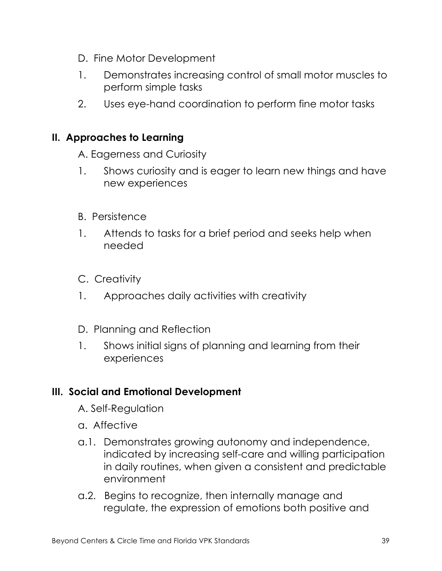- D. Fine Motor Development
- 1. Demonstrates increasing control of small motor muscles to perform simple tasks
- 2. Uses eye-hand coordination to perform fine motor tasks

#### **II. Approaches to Learning**

A. Eagerness and Curiosity

- 1. Shows curiosity and is eager to learn new things and have new experiences
- B. Persistence
- 1. Attends to tasks for a brief period and seeks help when needed
- C. Creativity
- 1. Approaches daily activities with creativity
- D. Planning and Reflection
- 1. Shows initial signs of planning and learning from their experiences

#### **III. Social and Emotional Development**

- A. Self-Regulation
- a. Affective
- a.1. Demonstrates growing autonomy and independence, indicated by increasing self-care and willing participation in daily routines, when given a consistent and predictable environment
- a.2. Begins to recognize, then internally manage and regulate, the expression of emotions both positive and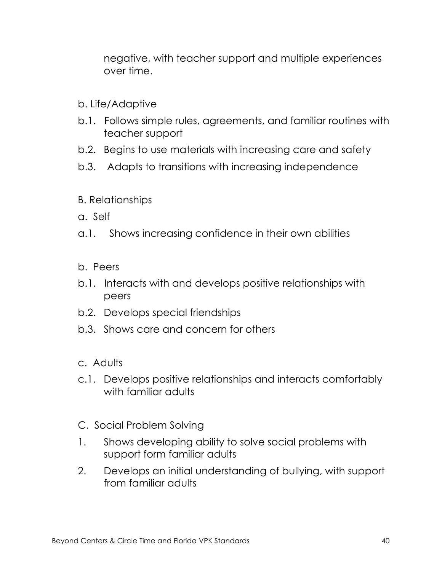negative, with teacher support and multiple experiences over time.

- b. Life/Adaptive
- b.1. Follows simple rules, agreements, and familiar routines with teacher support
- b.2. Begins to use materials with increasing care and safety
- b.3. Adapts to transitions with increasing independence
- B. Relationships
- a. Self
- a.1. Shows increasing confidence in their own abilities
- b. Peers
- b.1. Interacts with and develops positive relationships with peers
- b.2. Develops special friendships
- b.3. Shows care and concern for others
- c. Adults
- c.1. Develops positive relationships and interacts comfortably with familiar adults
- C. Social Problem Solving
- 1. Shows developing ability to solve social problems with support form familiar adults
- 2. Develops an initial understanding of bullying, with support from familiar adults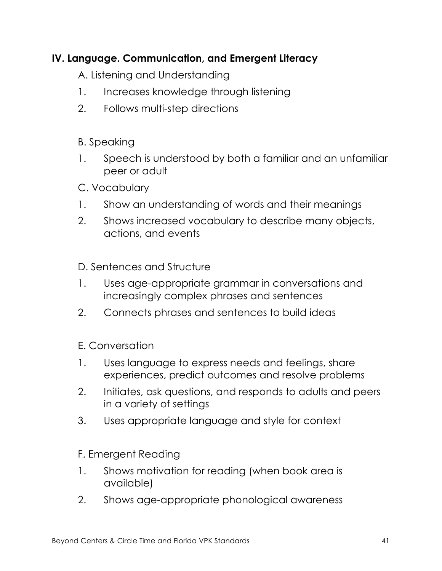## **IV. Language. Communication, and Emergent Literacy**

A. Listening and Understanding

- 1. Increases knowledge through listening
- 2. Follows multi-step directions

## B. Speaking

- 1. Speech is understood by both a familiar and an unfamiliar peer or adult
- C. Vocabulary
- 1. Show an understanding of words and their meanings
- 2. Shows increased vocabulary to describe many objects, actions, and events

D. Sentences and Structure

- 1. Uses age-appropriate grammar in conversations and increasingly complex phrases and sentences
- 2. Connects phrases and sentences to build ideas

E. Conversation

- 1. Uses language to express needs and feelings, share experiences, predict outcomes and resolve problems
- 2. Initiates, ask questions, and responds to adults and peers in a variety of settings
- 3. Uses appropriate language and style for context

F. Emergent Reading

- 1. Shows motivation for reading (when book area is available)
- 2. Shows age-appropriate phonological awareness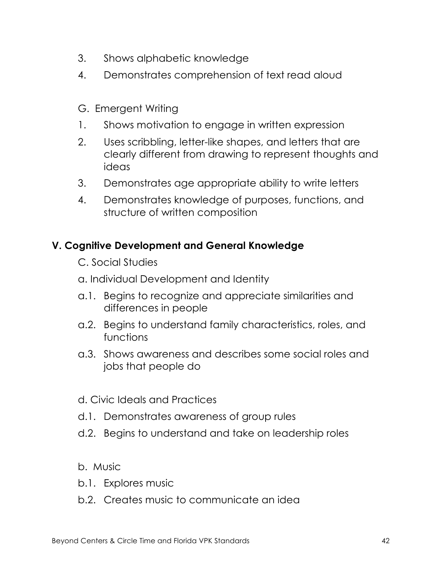- 3. Shows alphabetic knowledge
- 4. Demonstrates comprehension of text read aloud
- G. Emergent Writing
- 1. Shows motivation to engage in written expression
- 2. Uses scribbling, letter-like shapes, and letters that are clearly different from drawing to represent thoughts and ideas
- 3. Demonstrates age appropriate ability to write letters
- 4. Demonstrates knowledge of purposes, functions, and structure of written composition

## **V. Cognitive Development and General Knowledge**

- C. Social Studies
- a. Individual Development and Identity
- a.1. Begins to recognize and appreciate similarities and differences in people
- a.2. Begins to understand family characteristics, roles, and functions
- a.3. Shows awareness and describes some social roles and jobs that people do
- d. Civic Ideals and Practices
- d.1. Demonstrates awareness of group rules
- d.2. Begins to understand and take on leadership roles
- b. Music
- b.1. Explores music
- b.2. Creates music to communicate an idea